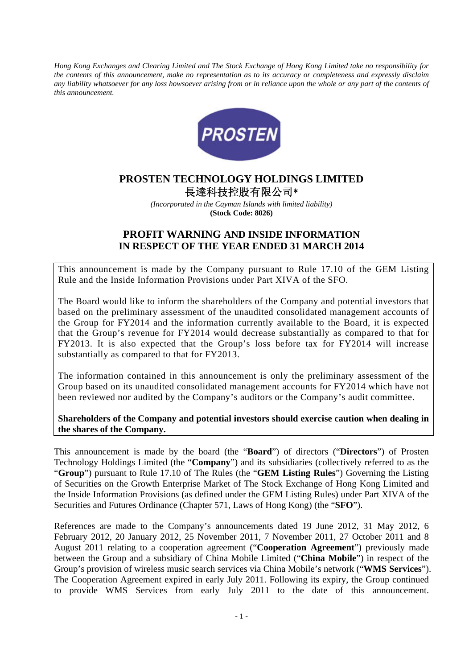*Hong Kong Exchanges and Clearing Limited and The Stock Exchange of Hong Kong Limited take no responsibility for the contents of this announcement, make no representation as to its accuracy or completeness and expressly disclaim*  any liability whatsoever for any loss howsoever arising from or in reliance upon the whole or any part of the contents of *this announcement.* 



## **PROSTEN TECHNOLOGY HOLDINGS LIMITED**  長達科技控股有限公司\*

*(Incorporated in the Cayman Islands with limited liability)*  **(Stock Code: 8026)** 

## **PROFIT WARNING AND INSIDE INFORMATION IN RESPECT OF THE YEAR ENDED 31 MARCH 2014**

This announcement is made by the Company pursuant to Rule 17.10 of the GEM Listing Rule and the Inside Information Provisions under Part XIVA of the SFO.

The Board would like to inform the shareholders of the Company and potential investors that based on the preliminary assessment of the unaudited consolidated management accounts of the Group for FY2014 and the information currently available to the Board, it is expected that the Group's revenue for FY2014 would decrease substantially as compared to that for FY2013. It is also expected that the Group's loss before tax for FY2014 will increase substantially as compared to that for FY2013.

The information contained in this announcement is only the preliminary assessment of the Group based on its unaudited consolidated management accounts for FY2014 which have not been reviewed nor audited by the Company's auditors or the Company's audit committee.

**Shareholders of the Company and potential investors should exercise caution when dealing in the shares of the Company.** 

This announcement is made by the board (the "**Board**") of directors ("**Directors**") of Prosten Technology Holdings Limited (the "**Company**") and its subsidiaries (collectively referred to as the "**Group**") pursuant to Rule 17.10 of The Rules (the "**GEM Listing Rules**") Governing the Listing of Securities on the Growth Enterprise Market of The Stock Exchange of Hong Kong Limited and the Inside Information Provisions (as defined under the GEM Listing Rules) under Part XIVA of the Securities and Futures Ordinance (Chapter 571, Laws of Hong Kong) (the "**SFO**").

References are made to the Company's announcements dated 19 June 2012, 31 May 2012, 6 February 2012, 20 January 2012, 25 November 2011, 7 November 2011, 27 October 2011 and 8 August 2011 relating to a cooperation agreement ("**Cooperation Agreement**") previously made between the Group and a subsidiary of China Mobile Limited ("**China Mobile**") in respect of the Group's provision of wireless music search services via China Mobile's network ("**WMS Services**"). The Cooperation Agreement expired in early July 2011. Following its expiry, the Group continued to provide WMS Services from early July 2011 to the date of this announcement.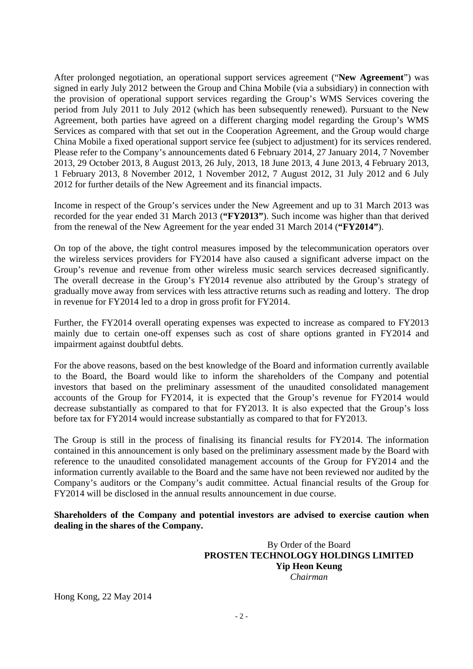After prolonged negotiation, an operational support services agreement ("**New Agreement**") was signed in early July 2012 between the Group and China Mobile (via a subsidiary) in connection with the provision of operational support services regarding the Group's WMS Services covering the period from July 2011 to July 2012 (which has been subsequently renewed). Pursuant to the New Agreement, both parties have agreed on a different charging model regarding the Group's WMS Services as compared with that set out in the Cooperation Agreement, and the Group would charge China Mobile a fixed operational support service fee (subject to adjustment) for its services rendered. Please refer to the Company's announcements dated 6 February 2014, 27 January 2014, 7 November 2013, 29 October 2013, 8 August 2013, 26 July, 2013, 18 June 2013, 4 June 2013, 4 February 2013, 1 February 2013, 8 November 2012, 1 November 2012, 7 August 2012, 31 July 2012 and 6 July 2012 for further details of the New Agreement and its financial impacts.

Income in respect of the Group's services under the New Agreement and up to 31 March 2013 was recorded for the year ended 31 March 2013 (**"FY2013"**). Such income was higher than that derived from the renewal of the New Agreement for the year ended 31 March 2014 (**"FY2014"**).

On top of the above, the tight control measures imposed by the telecommunication operators over the wireless services providers for FY2014 have also caused a significant adverse impact on the Group's revenue and revenue from other wireless music search services decreased significantly. The overall decrease in the Group's FY2014 revenue also attributed by the Group's strategy of gradually move away from services with less attractive returns such as reading and lottery. The drop in revenue for FY2014 led to a drop in gross profit for FY2014.

Further, the FY2014 overall operating expenses was expected to increase as compared to FY2013 mainly due to certain one-off expenses such as cost of share options granted in FY2014 and impairment against doubtful debts.

For the above reasons, based on the best knowledge of the Board and information currently available to the Board, the Board would like to inform the shareholders of the Company and potential investors that based on the preliminary assessment of the unaudited consolidated management accounts of the Group for FY2014, it is expected that the Group's revenue for FY2014 would decrease substantially as compared to that for FY2013. It is also expected that the Group's loss before tax for FY2014 would increase substantially as compared to that for FY2013.

The Group is still in the process of finalising its financial results for FY2014. The information contained in this announcement is only based on the preliminary assessment made by the Board with reference to the unaudited consolidated management accounts of the Group for FY2014 and the information currently available to the Board and the same have not been reviewed nor audited by the Company's auditors or the Company's audit committee. Actual financial results of the Group for FY2014 will be disclosed in the annual results announcement in due course.

## **Shareholders of the Company and potential investors are advised to exercise caution when dealing in the shares of the Company.**

 By Order of the Board **PROSTEN TECHNOLOGY HOLDINGS LIMITED Yip Heon Keung**   *Chairman* 

Hong Kong, 22 May 2014